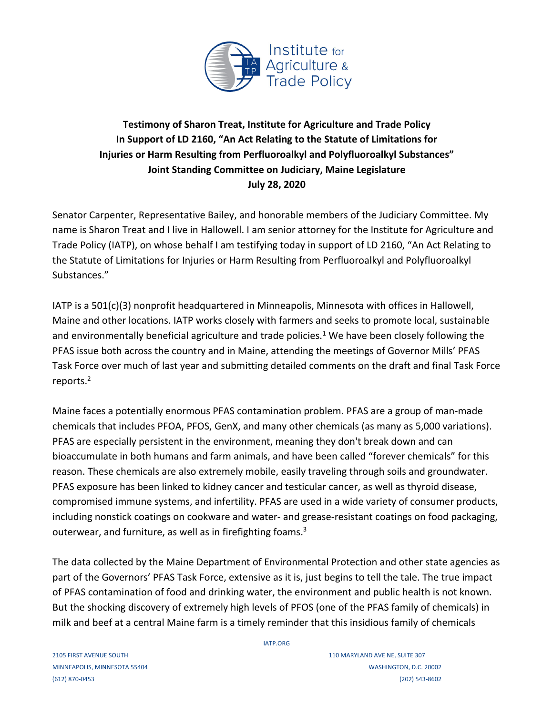

## **Testimony of Sharon Treat, Institute for Agriculture and Trade Policy In Support of LD 2160, "An Act Relating to the Statute of Limitations for Injuries or Harm Resulting from Perfluoroalkyl and Polyfluoroalkyl Substances" Joint Standing Committee on Judiciary, Maine Legislature July 28, 2020**

Senator Carpenter, Representative Bailey, and honorable members of the Judiciary Committee. My name is Sharon Treat and I live in Hallowell. I am senior attorney for the Institute for Agriculture and Trade Policy (IATP), on whose behalf I am testifying today in support of LD 2160, "An Act Relating to the Statute of Limitations for Injuries or Harm Resulting from Perfluoroalkyl and Polyfluoroalkyl Substances."

IATP is a 501(c)(3) nonprofit headquartered in Minneapolis, Minnesota with offices in Hallowell, Maine and other locations. IATP works closely with farmers and seeks to promote local, sustainable and environmentally beneficial agriculture and trade policies.<sup>1</sup> We have been closely following the PFAS issue both across the country and in Maine, attending the meetings of Governor Mills' PFAS Task Force over much of last year and submitting detailed comments on the draft and final Task Force reports.2

Maine faces a potentially enormous PFAS contamination problem. PFAS are a group of man-made chemicals that includes PFOA, PFOS, GenX, and many other chemicals (as many as 5,000 variations). PFAS are especially persistent in the environment, meaning they don't break down and can bioaccumulate in both humans and farm animals, and have been called "forever chemicals" for this reason. These chemicals are also extremely mobile, easily traveling through soils and groundwater. PFAS exposure has been linked to kidney cancer and testicular cancer, as well as thyroid disease, compromised immune systems, and infertility. PFAS are used in a wide variety of consumer products, including nonstick coatings on cookware and water- and grease-resistant coatings on food packaging, outerwear, and furniture, as well as in firefighting foams.<sup>3</sup>

The data collected by the Maine Department of Environmental Protection and other state agencies as part of the Governors' PFAS Task Force, extensive as it is, just begins to tell the tale. The true impact of PFAS contamination of food and drinking water, the environment and public health is not known. But the shocking discovery of extremely high levels of PFOS (one of the PFAS family of chemicals) in milk and beef at a central Maine farm is a timely reminder that this insidious family of chemicals

IATP.ORG

2105 FIRST AVENUE SOUTH 110 MARYLAND AVE NE, SUITE 307 MINNEAPOLIS, MINNESOTA 55404 WASHINGTON, D.C. 20002 (612) 870-0453 (202) 543-8602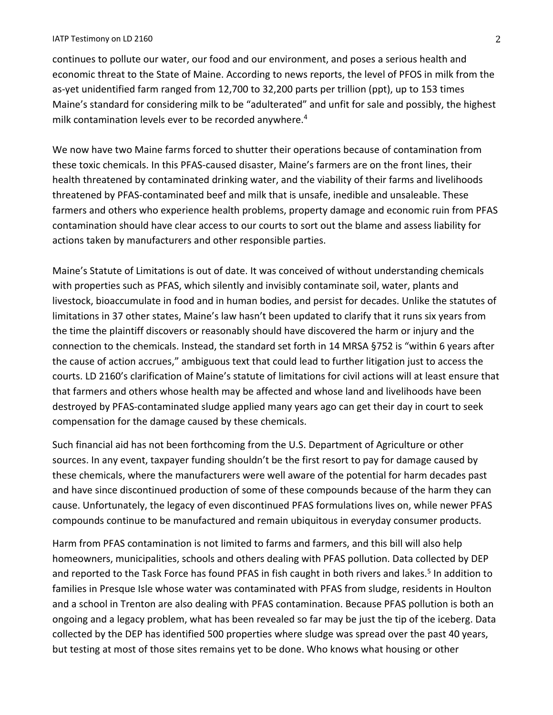## IATP Testimony on LD 2160 2

continues to pollute our water, our food and our environment, and poses a serious health and economic threat to the State of Maine. According to news reports, the level of PFOS in milk from the as-yet unidentified farm ranged from 12,700 to 32,200 parts per trillion (ppt), up to 153 times Maine's standard for considering milk to be "adulterated" and unfit for sale and possibly, the highest milk contamination levels ever to be recorded anywhere. 4

We now have two Maine farms forced to shutter their operations because of contamination from these toxic chemicals. In this PFAS-caused disaster, Maine's farmers are on the front lines, their health threatened by contaminated drinking water, and the viability of their farms and livelihoods threatened by PFAS-contaminated beef and milk that is unsafe, inedible and unsaleable. These farmers and others who experience health problems, property damage and economic ruin from PFAS contamination should have clear access to our courts to sort out the blame and assess liability for actions taken by manufacturers and other responsible parties.

Maine's Statute of Limitations is out of date. It was conceived of without understanding chemicals with properties such as PFAS, which silently and invisibly contaminate soil, water, plants and livestock, bioaccumulate in food and in human bodies, and persist for decades. Unlike the statutes of limitations in 37 other states, Maine's law hasn't been updated to clarify that it runs six years from the time the plaintiff discovers or reasonably should have discovered the harm or injury and the connection to the chemicals. Instead, the standard set forth in 14 MRSA §752 is "within 6 years after the cause of action accrues," ambiguous text that could lead to further litigation just to access the courts. LD 2160's clarification of Maine's statute of limitations for civil actions will at least ensure that that farmers and others whose health may be affected and whose land and livelihoods have been destroyed by PFAS-contaminated sludge applied many years ago can get their day in court to seek compensation for the damage caused by these chemicals.

Such financial aid has not been forthcoming from the U.S. Department of Agriculture or other sources. In any event, taxpayer funding shouldn't be the first resort to pay for damage caused by these chemicals, where the manufacturers were well aware of the potential for harm decades past and have since discontinued production of some of these compounds because of the harm they can cause. Unfortunately, the legacy of even discontinued PFAS formulations lives on, while newer PFAS compounds continue to be manufactured and remain ubiquitous in everyday consumer products.

Harm from PFAS contamination is not limited to farms and farmers, and this bill will also help homeowners, municipalities, schools and others dealing with PFAS pollution. Data collected by DEP and reported to the Task Force has found PFAS in fish caught in both rivers and lakes.<sup>5</sup> In addition to families in Presque Isle whose water was contaminated with PFAS from sludge, residents in Houlton and a school in Trenton are also dealing with PFAS contamination. Because PFAS pollution is both an ongoing and a legacy problem, what has been revealed so far may be just the tip of the iceberg. Data collected by the DEP has identified 500 properties where sludge was spread over the past 40 years, but testing at most of those sites remains yet to be done. Who knows what housing or other